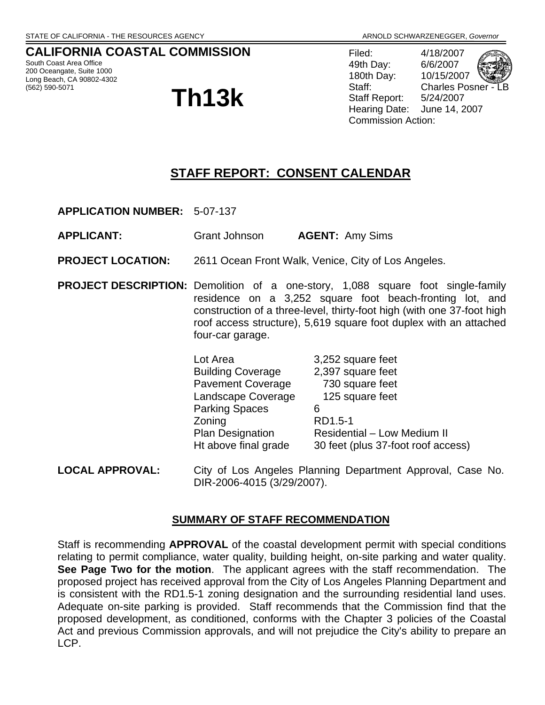## **CALIFORNIA COASTAL COMMISSION**

South Coast Area Office 200 Oceangate, Suite 1000 Long Beach, CA 90802-4302

# (562) 590-5071 **Th13k**

Filed: 4/18/2007 49th Day: 6/6/2007 180th Day: 10/15/2007 Staff: Charles Posner Staff Report: 5/24/2007 Hearing Date: June 14, 2007 Commission Action:

## **STAFF REPORT: CONSENT CALENDAR**

**APPLICATION NUMBER:** 5-07-137

- **APPLICANT:** Grant Johnson **AGENT:** Amy Sims
- **PROJECT LOCATION:** 2611 Ocean Front Walk, Venice, City of Los Angeles.
- **PROJECT DESCRIPTION:** Demolition of a one-story, 1,088 square foot single-family residence on a 3,252 square foot beach-fronting lot, and construction of a three-level, thirty-foot high (with one 37-foot high roof access structure), 5,619 square foot duplex with an attached four-car garage.

| Lot Area                 | 3,252 square feet                  |
|--------------------------|------------------------------------|
| <b>Building Coverage</b> | 2,397 square feet                  |
| <b>Pavement Coverage</b> | 730 square feet                    |
| Landscape Coverage       | 125 square feet                    |
| <b>Parking Spaces</b>    | 6                                  |
| Zoning                   | RD1.5-1                            |
| <b>Plan Designation</b>  | <b>Residential - Low Medium II</b> |
| Ht above final grade     | 30 feet (plus 37-foot roof access) |
|                          |                                    |

**LOCAL APPROVAL:** City of Los Angeles Planning Department Approval, Case No. DIR-2006-4015 (3/29/2007).

#### **SUMMARY OF STAFF RECOMMENDATION**

Staff is recommending **APPROVAL** of the coastal development permit with special conditions relating to permit compliance, water quality, building height, on-site parking and water quality. **See Page Two for the motion**. The applicant agrees with the staff recommendation. The proposed project has received approval from the City of Los Angeles Planning Department and is consistent with the RD1.5-1 zoning designation and the surrounding residential land uses. Adequate on-site parking is provided. Staff recommends that the Commission find that the proposed development, as conditioned, conforms with the Chapter 3 policies of the Coastal Act and previous Commission approvals, and will not prejudice the City's ability to prepare an LCP.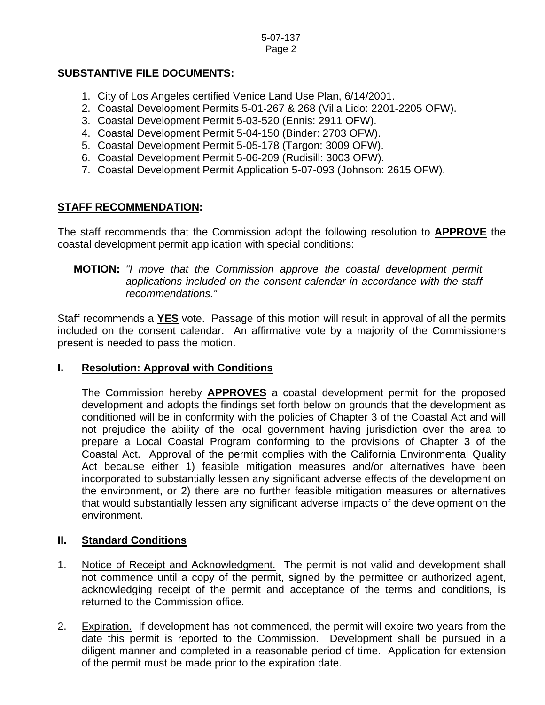#### **SUBSTANTIVE FILE DOCUMENTS:**

- 1. City of Los Angeles certified Venice Land Use Plan, 6/14/2001.
- 2. Coastal Development Permits 5-01-267 & 268 (Villa Lido: 2201-2205 OFW).
- 3. Coastal Development Permit 5-03-520 (Ennis: 2911 OFW).
- 4. Coastal Development Permit 5-04-150 (Binder: 2703 OFW).
- 5. Coastal Development Permit 5-05-178 (Targon: 3009 OFW).
- 6. Coastal Development Permit 5-06-209 (Rudisill: 3003 OFW).
- 7. Coastal Development Permit Application 5-07-093 (Johnson: 2615 OFW).

#### **STAFF RECOMMENDATION:**

The staff recommends that the Commission adopt the following resolution to **APPROVE** the coastal development permit application with special conditions:

#### **MOTION:** *"I move that the Commission approve the coastal development permit applications included on the consent calendar in accordance with the staff recommendations."*

Staff recommends a **YES** vote. Passage of this motion will result in approval of all the permits included on the consent calendar. An affirmative vote by a majority of the Commissioners present is needed to pass the motion.

#### **I. Resolution: Approval with Conditions**

The Commission hereby **APPROVES** a coastal development permit for the proposed development and adopts the findings set forth below on grounds that the development as conditioned will be in conformity with the policies of Chapter 3 of the Coastal Act and will not prejudice the ability of the local government having jurisdiction over the area to prepare a Local Coastal Program conforming to the provisions of Chapter 3 of the Coastal Act. Approval of the permit complies with the California Environmental Quality Act because either 1) feasible mitigation measures and/or alternatives have been incorporated to substantially lessen any significant adverse effects of the development on the environment, or 2) there are no further feasible mitigation measures or alternatives that would substantially lessen any significant adverse impacts of the development on the environment.

#### **II. Standard Conditions**

- 1. Notice of Receipt and Acknowledgment. The permit is not valid and development shall not commence until a copy of the permit, signed by the permittee or authorized agent, acknowledging receipt of the permit and acceptance of the terms and conditions, is returned to the Commission office.
- 2. Expiration. If development has not commenced, the permit will expire two years from the date this permit is reported to the Commission. Development shall be pursued in a diligent manner and completed in a reasonable period of time. Application for extension of the permit must be made prior to the expiration date.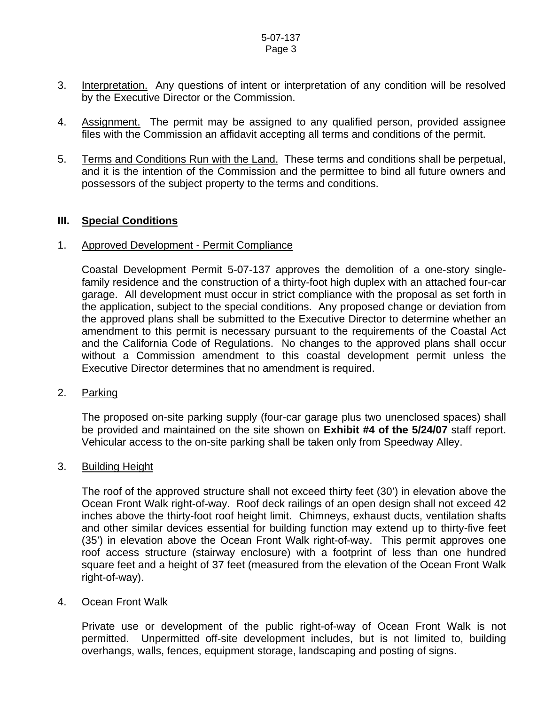- 3. Interpretation. Any questions of intent or interpretation of any condition will be resolved by the Executive Director or the Commission.
- 4. Assignment. The permit may be assigned to any qualified person, provided assignee files with the Commission an affidavit accepting all terms and conditions of the permit.
- 5. Terms and Conditions Run with the Land. These terms and conditions shall be perpetual, and it is the intention of the Commission and the permittee to bind all future owners and possessors of the subject property to the terms and conditions.

#### **III. Special Conditions**

#### 1. Approved Development - Permit Compliance

Coastal Development Permit 5-07-137 approves the demolition of a one-story singlefamily residence and the construction of a thirty-foot high duplex with an attached four-car garage. All development must occur in strict compliance with the proposal as set forth in the application, subject to the special conditions. Any proposed change or deviation from the approved plans shall be submitted to the Executive Director to determine whether an amendment to this permit is necessary pursuant to the requirements of the Coastal Act and the California Code of Regulations. No changes to the approved plans shall occur without a Commission amendment to this coastal development permit unless the Executive Director determines that no amendment is required.

#### 2. Parking

 The proposed on-site parking supply (four-car garage plus two unenclosed spaces) shall be provided and maintained on the site shown on **Exhibit #4 of the 5/24/07** staff report. Vehicular access to the on-site parking shall be taken only from Speedway Alley.

#### 3. Building Height

The roof of the approved structure shall not exceed thirty feet (30') in elevation above the Ocean Front Walk right-of-way. Roof deck railings of an open design shall not exceed 42 inches above the thirty-foot roof height limit. Chimneys, exhaust ducts, ventilation shafts and other similar devices essential for building function may extend up to thirty-five feet (35') in elevation above the Ocean Front Walk right-of-way. This permit approves one roof access structure (stairway enclosure) with a footprint of less than one hundred square feet and a height of 37 feet (measured from the elevation of the Ocean Front Walk right-of-way).

#### 4. Ocean Front Walk

Private use or development of the public right-of-way of Ocean Front Walk is not permitted. Unpermitted off-site development includes, but is not limited to, building overhangs, walls, fences, equipment storage, landscaping and posting of signs.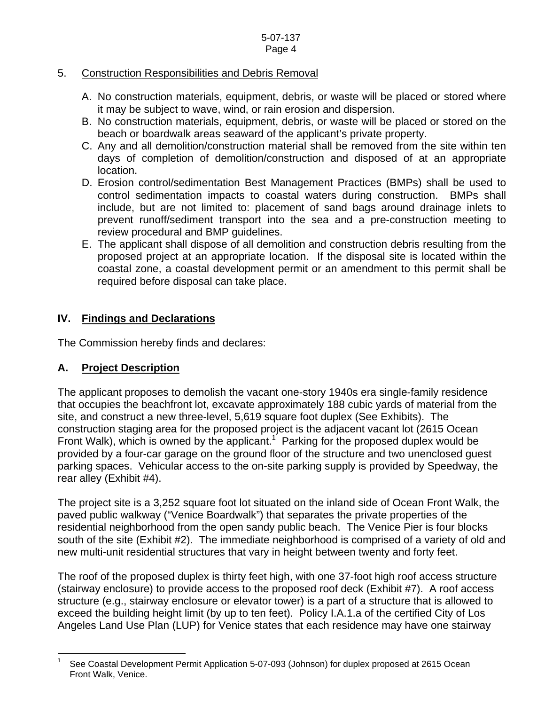#### 5. Construction Responsibilities and Debris Removal

- A. No construction materials, equipment, debris, or waste will be placed or stored where it may be subject to wave, wind, or rain erosion and dispersion.
- B. No construction materials, equipment, debris, or waste will be placed or stored on the beach or boardwalk areas seaward of the applicant's private property.
- C. Any and all demolition/construction material shall be removed from the site within ten days of completion of demolition/construction and disposed of at an appropriate location.
- D. Erosion control/sedimentation Best Management Practices (BMPs) shall be used to control sedimentation impacts to coastal waters during construction. BMPs shall include, but are not limited to: placement of sand bags around drainage inlets to prevent runoff/sediment transport into the sea and a pre-construction meeting to review procedural and BMP guidelines.
- E. The applicant shall dispose of all demolition and construction debris resulting from the proposed project at an appropriate location. If the disposal site is located within the coastal zone, a coastal development permit or an amendment to this permit shall be required before disposal can take place.

## **IV. Findings and Declarations**

The Commission hereby finds and declares:

## **A. Project Description**

 $\overline{a}$ 

The applicant proposes to demolish the vacant one-story 1940s era single-family residence that occupies the beachfront lot, excavate approximately 188 cubic yards of material from the site, and construct a new three-level, 5,619 square foot duplex (See Exhibits). The construction staging area for the proposed project is the adjacent vacant lot (2615 Ocean Front Walk), which is owned by the applicant.<sup>[1](#page-3-0)</sup> Parking for the proposed duplex would be provided by a four-car garage on the ground floor of the structure and two unenclosed guest parking spaces. Vehicular access to the on-site parking supply is provided by Speedway, the rear alley (Exhibit #4).

The project site is a 3,252 square foot lot situated on the inland side of Ocean Front Walk, the paved public walkway ("Venice Boardwalk") that separates the private properties of the residential neighborhood from the open sandy public beach. The Venice Pier is four blocks south of the site (Exhibit #2). The immediate neighborhood is comprised of a variety of old and new multi-unit residential structures that vary in height between twenty and forty feet.

The roof of the proposed duplex is thirty feet high, with one 37-foot high roof access structure (stairway enclosure) to provide access to the proposed roof deck (Exhibit #7). A roof access structure (e.g., stairway enclosure or elevator tower) is a part of a structure that is allowed to exceed the building height limit (by up to ten feet). Policy I.A.1.a of the certified City of Los Angeles Land Use Plan (LUP) for Venice states that each residence may have one stairway

<span id="page-3-0"></span><sup>1</sup> See Coastal Development Permit Application 5-07-093 (Johnson) for duplex proposed at 2615 Ocean Front Walk, Venice.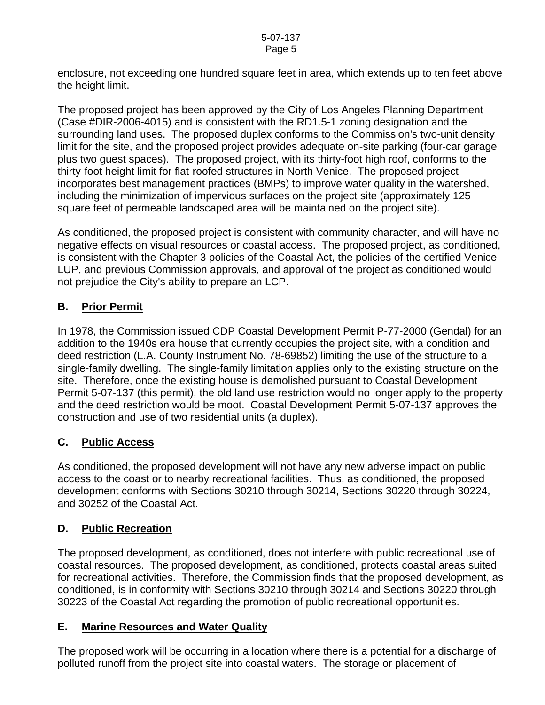enclosure, not exceeding one hundred square feet in area, which extends up to ten feet above the height limit.

The proposed project has been approved by the City of Los Angeles Planning Department (Case #DIR-2006-4015) and is consistent with the RD1.5-1 zoning designation and the surrounding land uses. The proposed duplex conforms to the Commission's two-unit density limit for the site, and the proposed project provides adequate on-site parking (four-car garage plus two guest spaces). The proposed project, with its thirty-foot high roof, conforms to the thirty-foot height limit for flat-roofed structures in North Venice. The proposed project incorporates best management practices (BMPs) to improve water quality in the watershed, including the minimization of impervious surfaces on the project site (approximately 125 square feet of permeable landscaped area will be maintained on the project site).

As conditioned, the proposed project is consistent with community character, and will have no negative effects on visual resources or coastal access. The proposed project, as conditioned, is consistent with the Chapter 3 policies of the Coastal Act, the policies of the certified Venice LUP, and previous Commission approvals, and approval of the project as conditioned would not prejudice the City's ability to prepare an LCP.

## **B. Prior Permit**

In 1978, the Commission issued CDP Coastal Development Permit P-77-2000 (Gendal) for an addition to the 1940s era house that currently occupies the project site, with a condition and deed restriction (L.A. County Instrument No. 78-69852) limiting the use of the structure to a single-family dwelling. The single-family limitation applies only to the existing structure on the site. Therefore, once the existing house is demolished pursuant to Coastal Development Permit 5-07-137 (this permit), the old land use restriction would no longer apply to the property and the deed restriction would be moot. Coastal Development Permit 5-07-137 approves the construction and use of two residential units (a duplex).

## **C. Public Access**

As conditioned, the proposed development will not have any new adverse impact on public access to the coast or to nearby recreational facilities. Thus, as conditioned, the proposed development conforms with Sections 30210 through 30214, Sections 30220 through 30224, and 30252 of the Coastal Act.

## **D. Public Recreation**

The proposed development, as conditioned, does not interfere with public recreational use of coastal resources. The proposed development, as conditioned, protects coastal areas suited for recreational activities. Therefore, the Commission finds that the proposed development, as conditioned, is in conformity with Sections 30210 through 30214 and Sections 30220 through 30223 of the Coastal Act regarding the promotion of public recreational opportunities.

## **E. Marine Resources and Water Quality**

The proposed work will be occurring in a location where there is a potential for a discharge of polluted runoff from the project site into coastal waters. The storage or placement of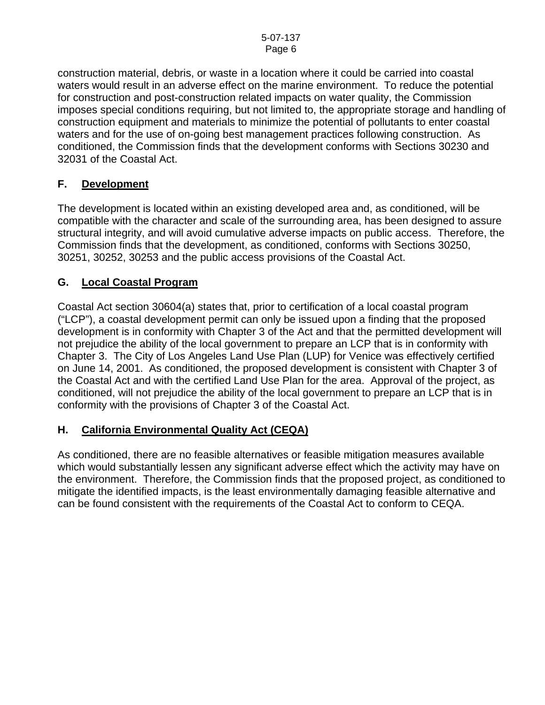construction material, debris, or waste in a location where it could be carried into coastal waters would result in an adverse effect on the marine environment. To reduce the potential for construction and post-construction related impacts on water quality, the Commission imposes special conditions requiring, but not limited to, the appropriate storage and handling of construction equipment and materials to minimize the potential of pollutants to enter coastal waters and for the use of on-going best management practices following construction. As conditioned, the Commission finds that the development conforms with Sections 30230 and 32031 of the Coastal Act.

## **F. Development**

The development is located within an existing developed area and, as conditioned, will be compatible with the character and scale of the surrounding area, has been designed to assure structural integrity, and will avoid cumulative adverse impacts on public access. Therefore, the Commission finds that the development, as conditioned, conforms with Sections 30250, 30251, 30252, 30253 and the public access provisions of the Coastal Act.

## **G. Local Coastal Program**

Coastal Act section 30604(a) states that, prior to certification of a local coastal program ("LCP"), a coastal development permit can only be issued upon a finding that the proposed development is in conformity with Chapter 3 of the Act and that the permitted development will not prejudice the ability of the local government to prepare an LCP that is in conformity with Chapter 3. The City of Los Angeles Land Use Plan (LUP) for Venice was effectively certified on June 14, 2001. As conditioned, the proposed development is consistent with Chapter 3 of the Coastal Act and with the certified Land Use Plan for the area. Approval of the project, as conditioned, will not prejudice the ability of the local government to prepare an LCP that is in conformity with the provisions of Chapter 3 of the Coastal Act.

## **H. California Environmental Quality Act (CEQA)**

As conditioned, there are no feasible alternatives or feasible mitigation measures available which would substantially lessen any significant adverse effect which the activity may have on the environment. Therefore, the Commission finds that the proposed project, as conditioned to mitigate the identified impacts, is the least environmentally damaging feasible alternative and can be found consistent with the requirements of the Coastal Act to conform to CEQA.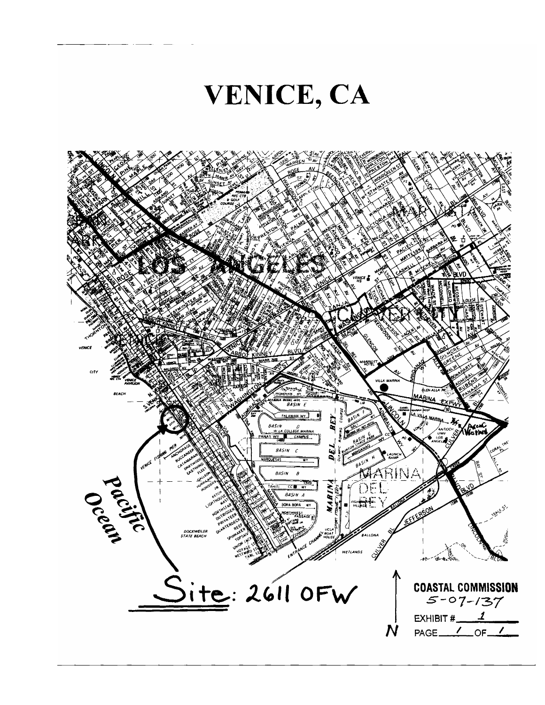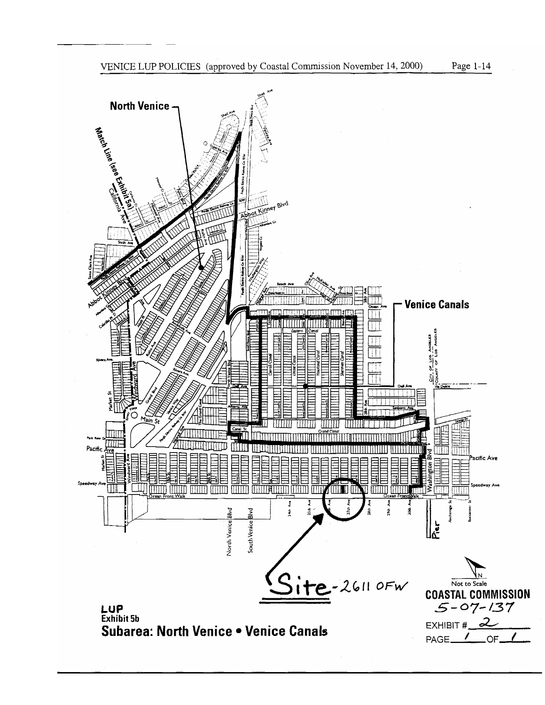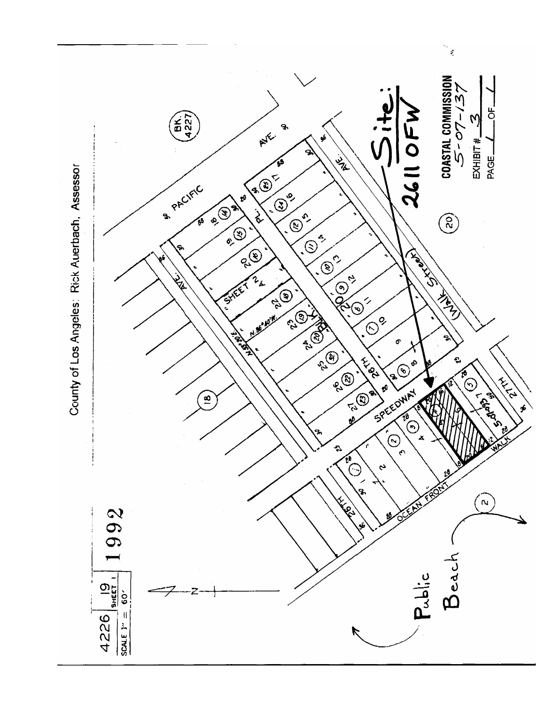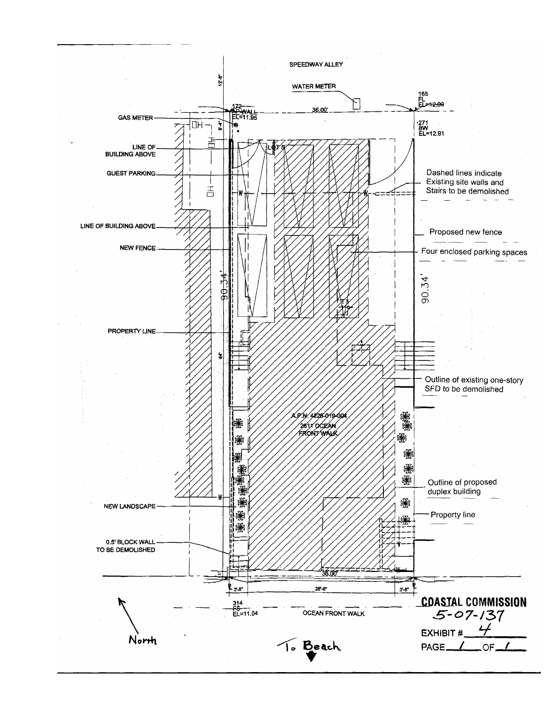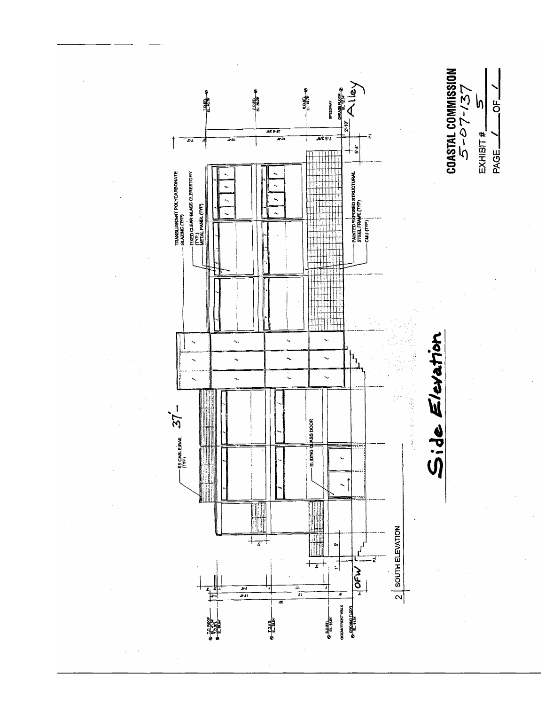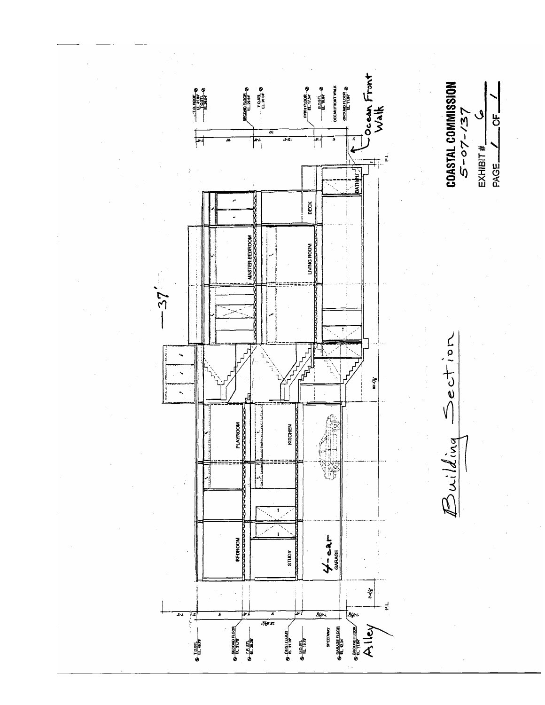